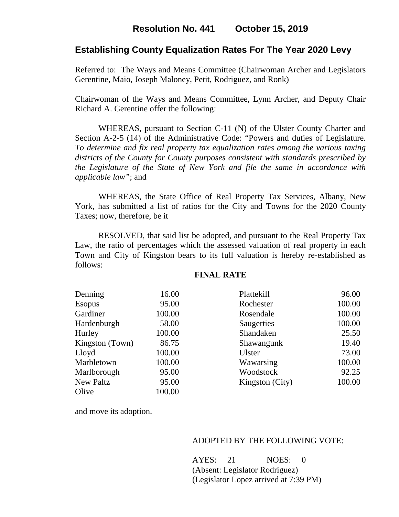# **Establishing County Equalization Rates For The Year 2020 Levy**

Referred to: The Ways and Means Committee (Chairwoman Archer and Legislators Gerentine, Maio, Joseph Maloney, Petit, Rodriguez, and Ronk)

Chairwoman of the Ways and Means Committee, Lynn Archer, and Deputy Chair Richard A. Gerentine offer the following:

WHEREAS, pursuant to Section C-11 (N) of the Ulster County Charter and Section A-2-5 (14) of the Administrative Code: "Powers and duties of Legislature. *To determine and fix real property tax equalization rates among the various taxing districts of the County for County purposes consistent with standards prescribed by the Legislature of the State of New York and file the same in accordance with applicable law"*; and

 WHEREAS, the State Office of Real Property Tax Services, Albany, New York, has submitted a list of ratios for the City and Towns for the 2020 County Taxes; now, therefore, be it

RESOLVED, that said list be adopted, and pursuant to the Real Property Tax Law, the ratio of percentages which the assessed valuation of real property in each Town and City of Kingston bears to its full valuation is hereby re-established as follows:

| Denning         | 16.00  | Plattekill      | 96.00  |
|-----------------|--------|-----------------|--------|
| <b>Esopus</b>   | 95.00  | Rochester       | 100.00 |
| Gardiner        | 100.00 | Rosendale       | 100.00 |
| Hardenburgh     | 58.00  | Saugerties      | 100.00 |
| Hurley          | 100.00 | Shandaken       | 25.50  |
| Kingston (Town) | 86.75  | Shawangunk      | 19.40  |
| Lloyd           | 100.00 | Ulster          | 73.00  |
| Marbletown      | 100.00 | Wawarsing       | 100.00 |
| Marlborough     | 95.00  | Woodstock       | 92.25  |
| New Paltz       | 95.00  | Kingston (City) | 100.00 |
| Olive           | 100.00 |                 |        |
|                 |        |                 |        |

#### **FINAL RATE**

and move its adoption.

#### ADOPTED BY THE FOLLOWING VOTE:

AYES: 21 NOES: 0 (Absent: Legislator Rodriguez) (Legislator Lopez arrived at 7:39 PM)